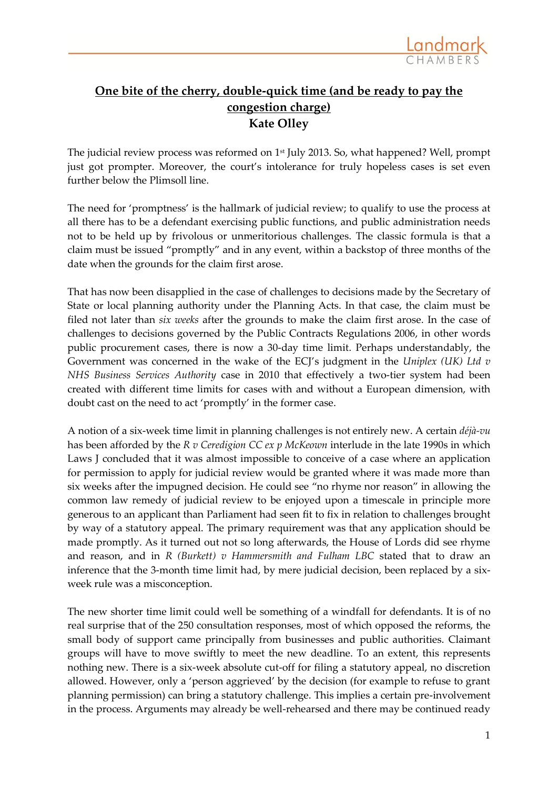

## **One bite of the cherry, double-quick time (and be ready to pay the congestion charge) Kate Olley**

The judicial review process was reformed on 1<sup>st</sup> July 2013. So, what happened? Well, prompt just got prompter. Moreover, the court's intolerance for truly hopeless cases is set even further below the Plimsoll line.

The need for 'promptness' is the hallmark of judicial review; to qualify to use the process at all there has to be a defendant exercising public functions, and public administration needs not to be held up by frivolous or unmeritorious challenges. The classic formula is that a claim must be issued "promptly" and in any event, within a backstop of three months of the date when the grounds for the claim first arose.

That has now been disapplied in the case of challenges to decisions made by the Secretary of State or local planning authority under the Planning Acts. In that case, the claim must be filed not later than *six weeks* after the grounds to make the claim first arose. In the case of challenges to decisions governed by the Public Contracts Regulations 2006, in other words public procurement cases, there is now a 30-day time limit. Perhaps understandably, the Government was concerned in the wake of the ECJ's judgment in the *Uniplex (UK) Ltd v NHS Business Services Authority* case in 2010 that effectively a two-tier system had been created with different time limits for cases with and without a European dimension, with doubt cast on the need to act 'promptly' in the former case.

A notion of a six-week time limit in planning challenges is not entirely new. A certain *déjà-vu*  has been afforded by the *R v Ceredigion CC ex p McKeown* interlude in the late 1990s in which Laws J concluded that it was almost impossible to conceive of a case where an application for permission to apply for judicial review would be granted where it was made more than six weeks after the impugned decision. He could see "no rhyme nor reason" in allowing the common law remedy of judicial review to be enjoyed upon a timescale in principle more generous to an applicant than Parliament had seen fit to fix in relation to challenges brought by way of a statutory appeal. The primary requirement was that any application should be made promptly. As it turned out not so long afterwards, the House of Lords did see rhyme and reason, and in *R (Burkett) v Hammersmith and Fulham LBC* stated that to draw an inference that the 3-month time limit had, by mere judicial decision, been replaced by a sixweek rule was a misconception.

The new shorter time limit could well be something of a windfall for defendants. It is of no real surprise that of the 250 consultation responses, most of which opposed the reforms, the small body of support came principally from businesses and public authorities. Claimant groups will have to move swiftly to meet the new deadline. To an extent, this represents nothing new. There is a six-week absolute cut-off for filing a statutory appeal, no discretion allowed. However, only a 'person aggrieved' by the decision (for example to refuse to grant planning permission) can bring a statutory challenge. This implies a certain pre-involvement in the process. Arguments may already be well-rehearsed and there may be continued ready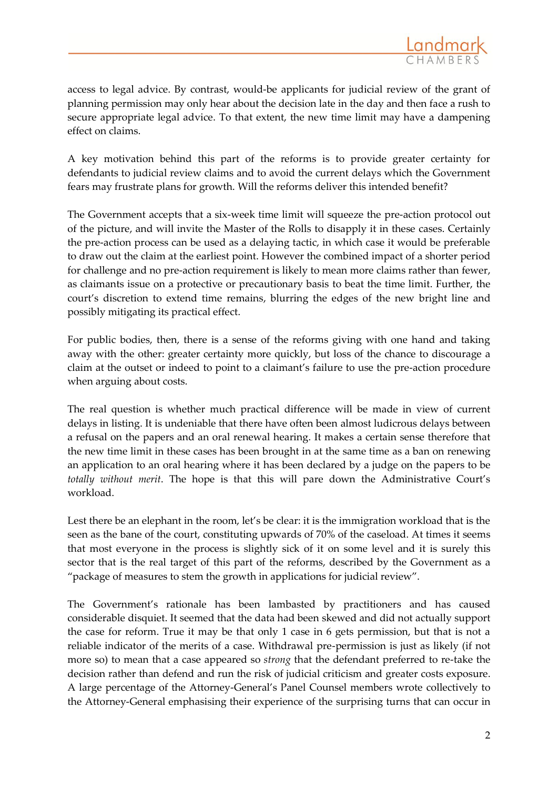access to legal advice. By contrast, would-be applicants for judicial review of the grant of planning permission may only hear about the decision late in the day and then face a rush to secure appropriate legal advice. To that extent, the new time limit may have a dampening effect on claims.

A key motivation behind this part of the reforms is to provide greater certainty for defendants to judicial review claims and to avoid the current delays which the Government fears may frustrate plans for growth. Will the reforms deliver this intended benefit?

The Government accepts that a six-week time limit will squeeze the pre-action protocol out of the picture, and will invite the Master of the Rolls to disapply it in these cases. Certainly the pre-action process can be used as a delaying tactic, in which case it would be preferable to draw out the claim at the earliest point. However the combined impact of a shorter period for challenge and no pre-action requirement is likely to mean more claims rather than fewer, as claimants issue on a protective or precautionary basis to beat the time limit. Further, the court's discretion to extend time remains, blurring the edges of the new bright line and possibly mitigating its practical effect.

For public bodies, then, there is a sense of the reforms giving with one hand and taking away with the other: greater certainty more quickly, but loss of the chance to discourage a claim at the outset or indeed to point to a claimant's failure to use the pre-action procedure when arguing about costs.

The real question is whether much practical difference will be made in view of current delays in listing. It is undeniable that there have often been almost ludicrous delays between a refusal on the papers and an oral renewal hearing. It makes a certain sense therefore that the new time limit in these cases has been brought in at the same time as a ban on renewing an application to an oral hearing where it has been declared by a judge on the papers to be *totally without merit*. The hope is that this will pare down the Administrative Court's workload.

Lest there be an elephant in the room, let's be clear: it is the immigration workload that is the seen as the bane of the court, constituting upwards of 70% of the caseload. At times it seems that most everyone in the process is slightly sick of it on some level and it is surely this sector that is the real target of this part of the reforms, described by the Government as a "package of measures to stem the growth in applications for judicial review".

The Government's rationale has been lambasted by practitioners and has caused considerable disquiet. It seemed that the data had been skewed and did not actually support the case for reform. True it may be that only 1 case in 6 gets permission, but that is not a reliable indicator of the merits of a case. Withdrawal pre-permission is just as likely (if not more so) to mean that a case appeared so *strong* that the defendant preferred to re-take the decision rather than defend and run the risk of judicial criticism and greater costs exposure. A large percentage of the Attorney-General's Panel Counsel members wrote collectively to the Attorney-General emphasising their experience of the surprising turns that can occur in